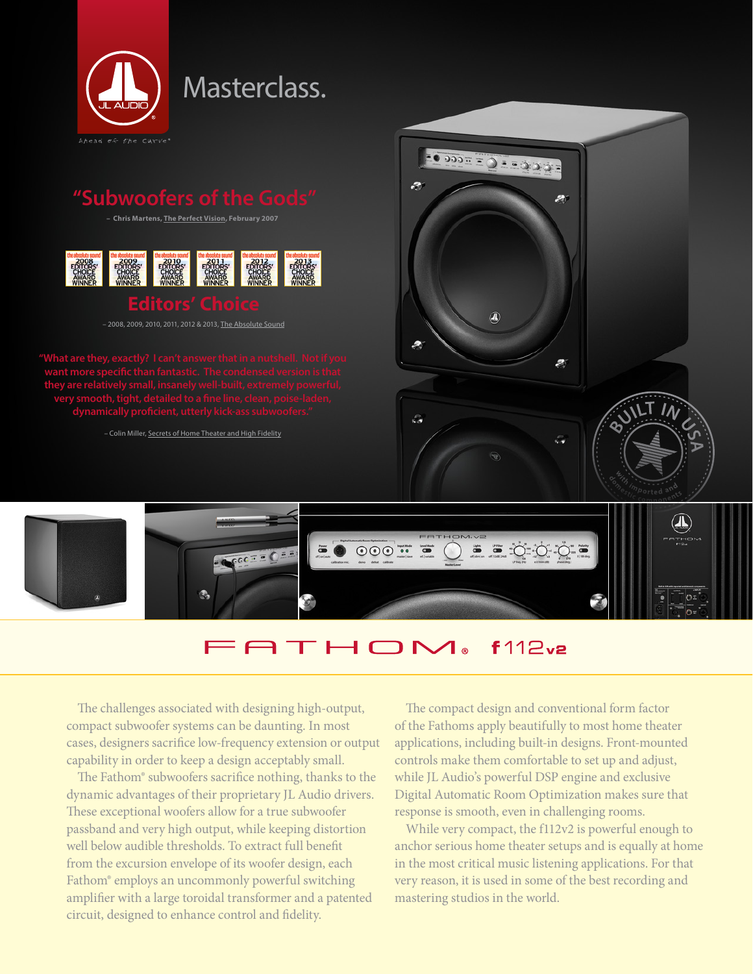

# Masterclass.

## **"Subwoofers of the Gods"**

**– Chris Martens, The Perfect Vision, February 2007**



– 2008, 2009, 2010, 2011, 2012 & 2013, The Absolute Sound

**they are relatively small, insanely well-built, extremely powerful, dynamically proficient, utterly kick-ass subwoofers."**

– Colin Miller, Secrets of Home Theater and High Fidelity





### **ATHOM**  $f112v2$

The challenges associated with designing high-output, compact subwoofer systems can be daunting. In most cases, designers sacrifice low-frequency extension or output capability in order to keep a design acceptably small.

The Fathom® subwoofers sacrifice nothing, thanks to the dynamic advantages of their proprietary JL Audio drivers. These exceptional woofers allow for a true subwoofer passband and very high output, while keeping distortion well below audible thresholds. To extract full benefit from the excursion envelope of its woofer design, each Fathom® employs an uncommonly powerful switching amplifier with a large toroidal transformer and a patented circuit, designed to enhance control and fidelity.

The compact design and conventional form factor of the Fathoms apply beautifully to most home theater applications, including built-in designs. Front-mounted controls make them comfortable to set up and adjust, while JL Audio's powerful DSP engine and exclusive Digital Automatic Room Optimization makes sure that response is smooth, even in challenging rooms.

While very compact, the f112v2 is powerful enough to anchor serious home theater setups and is equally at home in the most critical music listening applications. For that very reason, it is used in some of the best recording and mastering studios in the world.